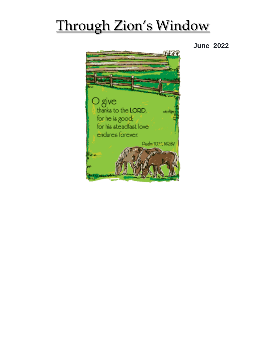## Through Zion's Window

**June 2022**

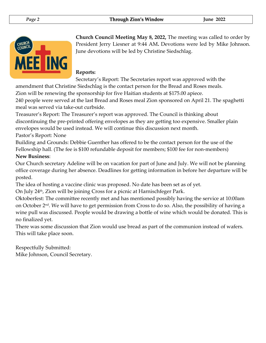

**Church Council Meeting May 8, 2022,** The meeting was called to order by President Jerry Liesner at 9:44 AM**.** Devotions were led by Mike Johnson. June devotions will be led by Christine Siedschlag.

#### **Reports:**

Secretary's Report: The Secretaries report was approved with the

amendment that Christine Siedschlag is the contact person for the Bread and Roses meals.

Zion will be renewing the sponsorship for five Haitian students at \$175.00 apiece.

240 people were served at the last Bread and Roses meal Zion sponsored on April 21. The spaghetti meal was served via take-out curbside.

Treasurer's Report: The Treasurer's report was approved. The Council is thinking about discontinuing the pre-printed offering envelopes as they are getting too expensive. Smaller plain envelopes would be used instead. We will continue this discussion next month. Pastor's Report: None

Building and Grounds: Debbie Guenther has offered to be the contact person for the use of the Fellowship hall. (The fee is \$100 refundable deposit for members; \$100 fee for non-members) **New Business**:

Our Church secretary Adeline will be on vacation for part of June and July. We will not be planning office coverage during her absence. Deadlines for getting information in before her departure will be posted.

The idea of hosting a vaccine clinic was proposed. No date has been set as of yet.

On July 24<sup>th</sup>, Zion will be joining Cross for a picnic at Harnischfeger Park.

Oktoberfest: The committee recently met and has mentioned possibly having the service at 10:00am on October  $2<sup>nd</sup>$ . We will have to get permission from Cross to do so. Also, the possibility of having a wine pull was discussed. People would be drawing a bottle of wine which would be donated. This is no finalized yet.

There was some discussion that Zion would use bread as part of the communion instead of wafers. This will take place soon.

Respectfully Submitted: Mike Johnson, Council Secretary.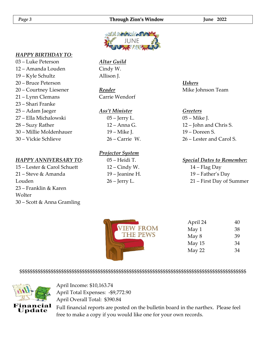#### *Page 3* **Through Zion's Window June 2022**



#### *HAPPY BIRTHDAY TO:*

– Luke Peterson – Amanda Louden – Kyle Schultz – Bruce Peterson – Courtney Liesener – Lynn Clemans – Shari Franke – Adam Jaeger – Ella Michalowski – Suzy Rather – Millie Moldenhauer – Vickie Schlieve

#### *HAPPY ANNIVERSARY TO*:

– Lester & Carol Schuett – Steve & Amanda Louden – Franklin & Karen Wolter – Scott & Anna Gramling

#### *Altar Guild* Cindy W. Allison J.

*Reader* Carrie Wendorf

#### *Ass't Minister*

– Jerry L. – Anna G. – Mike J. – Carrie W.

#### *Projector System*

 – Heidi T. – Cindy W. – Jeanine H. – Jerry L.

#### *Ushers*  Mike Johnson Team

#### *Greeters*

– Mike J. – John and Chris S. – Doreen S. – Lester and Carol S.

#### *Special Dates to Remember:*

14 – Flag Day 19 – Father's Day 21 – First Day of Summer

| <b>VIEW FROM</b> |
|------------------|
| <b>THE PEWS</b>  |
|                  |
|                  |
|                  |

| April 24 | 40 |
|----------|----|
| May 1    | 38 |
| May 8    | 39 |
| May 15   | 34 |
| May 22   | 34 |
|          |    |

#### \$\$\$\$\$\$\$\$\$\$\$\$\$\$\$\$\$\$\$\$\$\$\$\$\$\$\$\$\$\$\$\$\$\$\$\$\$\$\$\$\$\$\$\$\$\$\$\$\$\$\$\$\$\$\$\$\$\$\$\$\$\$\$\$\$\$\$\$\$\$\$\$\$\$\$\$\$\$\$\$\$\$\$\$\$\$\$



April Income: \$10,163.74 April Total Expenses: -\$9,772.90 April Overall Total: \$390.84

Full financial reports are posted on the bulletin board in the narthex. Please feel free to make a copy if you would like one for your own records.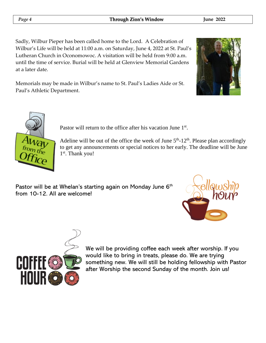*Page 4* **Through Zion's Window June 2022**

Sadly, Wilbur Pieper has been called home to the Lord. A Celebration of Wilbur's Life will be held at 11:00 a.m. on Saturday, June 4, 2022 at St. Paul's Lutheran Church in Oconomowoc. A visitation will be held from 9:00 a.m. until the time of service. Burial will be held at Glenview Memorial Gardens at a later date.

Memorials may be made in Wilbur's name to St. Paul's Ladies Aide or St. Paul's Athletic Department.





Pastor will return to the office after his vacation June 1<sup>st</sup>.

Adeline will be out of the office the week of June  $5<sup>th</sup>$ -12<sup>th</sup>. Please plan accordingly to get any announcements or special notices to her early. The deadline will be June 1<sup>st</sup>. Thank you!

Pastor will be at Whelan's starting again on Monday June 6<sup>th</sup> from 10-12. All are welcome!





We will be providing coffee each week after worship. If you would like to bring in treats, please do. We are trying something new. We will still be holding fellowship with Pastor after Worship the second Sunday of the month. Join us!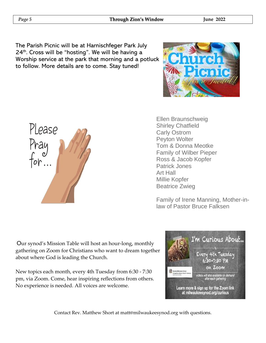The Parish Picnic will be at Harnischfeger Park July  $24<sup>th</sup>$ . Cross will be "hosting". We will be having a Worship service at the park that morning and a potluck to follow. More details are to come. Stay tuned!



Ellen Braunschweig Shirley Chatfield Carly Ostrom Peyton Wolter Tom & Donna Meotke Family of Wilber Pieper Ross & Jacob Kopfer Patrick Jones Art Hall Millie Kopfer Beatrice Zwieg

Family of Irene Manning, Mother-inlaw of Pastor Bruce Falksen

Our synod's Mission Table will host an hour-long, monthly gathering on Zoom for Christians who want to dream together about where God is leading the Church.

New topics each month, every 4th Tuesday from 6:30 - 7:30 pm, via Zoom. Come, hear inspiring reflections from others. No experience is needed. All voices are welcome.



Contact Rev. Matthew Short at matt@milwaukeesynod.org with questions.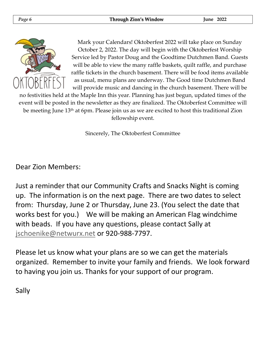

Mark your Calendars! Oktoberfest 2022 will take place on Sunday October 2, 2022. The day will begin with the Oktoberfest Worship Service led by Pastor Doug and the Goodtime Dutchmen Band. Guests will be able to view the many raffle baskets, quilt raffle, and purchase raffle tickets in the church basement. There will be food items available as usual, menu plans are underway. The Good time Dutchmen Band will provide music and dancing in the church basement. There will be

no festivities held at the Maple Inn this year. Planning has just begun, updated times of the event will be posted in the newsletter as they are finalized. The Oktoberfest Committee will be meeting June 13<sup>th</sup> at 6pm. Please join us as we are excited to host this traditional Zion fellowship event.

Sincerely, The Oktoberfest Committee

Dear Zion Members:

Just a reminder that our Community Crafts and Snacks Night is coming up. The information is on the next page. There are two dates to select from: Thursday, June 2 or Thursday, June 23. (You select the date that works best for you.) We will be making an American Flag windchime with beads. If you have any questions, please contact Sally at [jschoenike@netwurx.net](mailto:jschoenike@netwurx.net) or 920-988-7797.

Please let us know what your plans are so we can get the materials organized. Remember to invite your family and friends. We look forward to having you join us. Thanks for your support of our program.

Sally